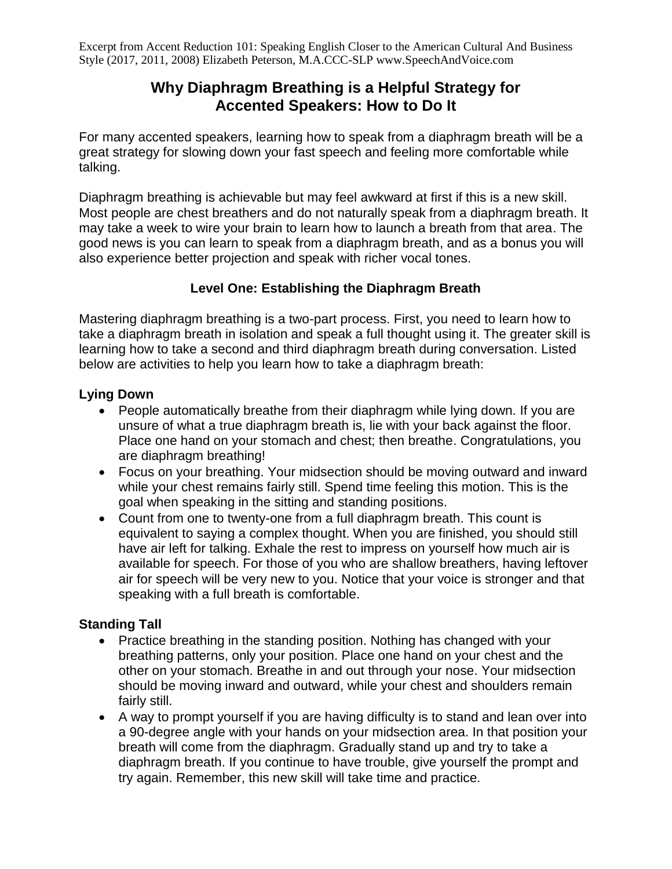Excerpt from Accent Reduction 101: Speaking English Closer to the American Cultural And Business Style (2017, 2011, 2008) Elizabeth Peterson, M.A.CCC-SLP www.SpeechAndVoice.com

# **Why Diaphragm Breathing is a Helpful Strategy for Accented Speakers: How to Do It**

For many accented speakers, learning how to speak from a diaphragm breath will be a great strategy for slowing down your fast speech and feeling more comfortable while talking.

Diaphragm breathing is achievable but may feel awkward at first if this is a new skill. Most people are chest breathers and do not naturally speak from a diaphragm breath. It may take a week to wire your brain to learn how to launch a breath from that area. The good news is you can learn to speak from a diaphragm breath, and as a bonus you will also experience better projection and speak with richer vocal tones.

## **Level One: Establishing the Diaphragm Breath**

Mastering diaphragm breathing is a two-part process. First, you need to learn how to take a diaphragm breath in isolation and speak a full thought using it. The greater skill is learning how to take a second and third diaphragm breath during conversation. Listed below are activities to help you learn how to take a diaphragm breath:

## **Lying Down**

- People automatically breathe from their diaphragm while lying down. If you are unsure of what a true diaphragm breath is, lie with your back against the floor. Place one hand on your stomach and chest; then breathe. Congratulations, you are diaphragm breathing!
- Focus on your breathing. Your midsection should be moving outward and inward while your chest remains fairly still. Spend time feeling this motion. This is the goal when speaking in the sitting and standing positions.
- Count from one to twenty-one from a full diaphragm breath. This count is equivalent to saying a complex thought. When you are finished, you should still have air left for talking. Exhale the rest to impress on yourself how much air is available for speech. For those of you who are shallow breathers, having leftover air for speech will be very new to you. Notice that your voice is stronger and that speaking with a full breath is comfortable.

## **Standing Tall**

- Practice breathing in the standing position. Nothing has changed with your breathing patterns, only your position. Place one hand on your chest and the other on your stomach. Breathe in and out through your nose. Your midsection should be moving inward and outward, while your chest and shoulders remain fairly still.
- A way to prompt yourself if you are having difficulty is to stand and lean over into a 90-degree angle with your hands on your midsection area. In that position your breath will come from the diaphragm. Gradually stand up and try to take a diaphragm breath. If you continue to have trouble, give yourself the prompt and try again. Remember, this new skill will take time and practice.